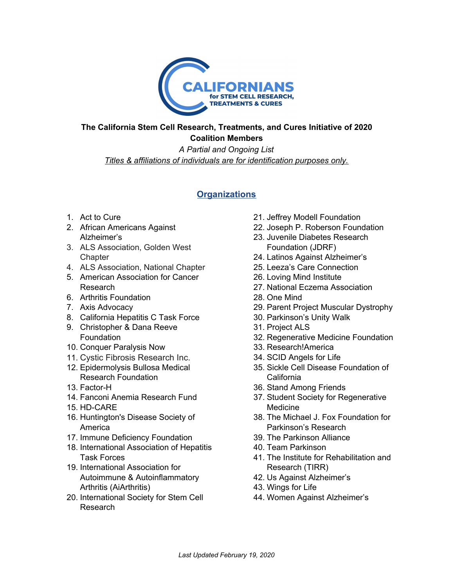

## **The California Stem Cell Research, Treatments, and Cures Initiative of 2020 Coalition Members**

*A Partial and Ongoing List Titles & affiliations of individuals are for identification purposes only.*

# **Organizations**

- 1. Act to Cure
- 2. African Americans Against Alzheimer's
- 3. ALS Association, Golden West **Chapter**
- 4. ALS Association, National Chapter
- 5. American Association for Cancer Research
- 6. Arthritis Foundation
- 7. Axis Advocacy
- 8. California Hepatitis C Task Force
- 9. Christopher & Dana Reeve **Foundation**
- 10. Conquer Paralysis Now
- 11. Cystic Fibrosis Research Inc.
- 12. Epidermolysis Bullosa Medical Research Foundation
- 13. Factor-H
- 14. Fanconi Anemia Research Fund
- 15. HD-CARE
- 16. Huntington's Disease Society of America
- 17. Immune Deficiency Foundation
- 18. International Association of Hepatitis Task Forces
- 19. International Association for Autoimmune & Autoinflammatory Arthritis (AiArthritis)
- 20. [International](https://www.isscr.org/) Society for Stem Cell [Research](https://www.isscr.org/)
- 21. Jeffrey Modell Foundation
- 22. Joseph P. Roberson Foundation
- 23. Juvenile Diabetes Research Foundation (JDRF)
- 24. Latinos Against Alzheimer's
- 25. Leeza's Care Connection
- 26. Loving Mind Institute
- 27. National Eczema Association
- 28. One Mind
- 29. Parent Project Muscular Dystrophy
- 30. Parkinson's Unity Walk
- 31. Project ALS
- 32. Regenerative Medicine Foundation
- 33. Research!America
- 34. SCID Angels for Life
- 35. Sickle Cell Disease Foundation of California
- 36. Stand Among Friends
- 37. Student Society for Regenerative Medicine
- 38. The Michael J. Fox Foundation for Parkinson's Research
- 39. The Parkinson Alliance
- 40. Team Parkinson
- 41. The Institute for Rehabilitation and Research (TIRR)
- 42. Us Against Alzheimer's
- 43. Wings for Life
- 44. Women Against Alzheimer's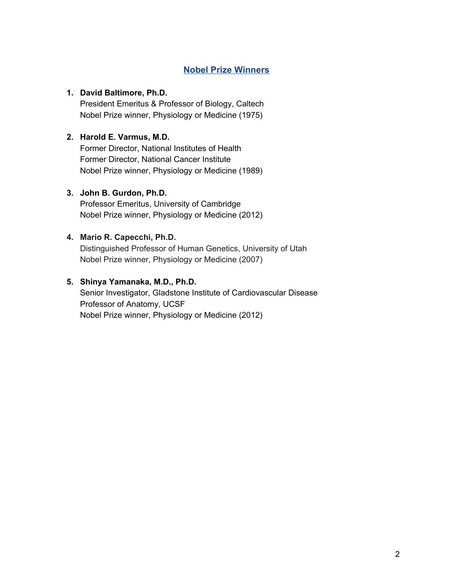# **Nobel Prize Winners**

## **1. David Baltimore, Ph.D.**

President Emeritus & Professor of Biology, Caltech Nobel Prize winner, Physiology or Medicine (1975)

# **2. Harold E. Varmus, M.D.**

Former Director, National Institutes of Health Former Director, National Cancer Institute Nobel Prize winner, Physiology or Medicine (1989)

## **3. John B. Gurdon, Ph.D.**

Professor Emeritus, University of Cambridge Nobel Prize winner, Physiology or Medicine (2012)

# **4. Mario R. Capecchi, Ph.D.**

Distinguished Professor of Human Genetics, University of Utah Nobel Prize winner, Physiology or Medicine (2007)

# **5. Shinya Yamanaka, M.D., Ph.D.**

Senior Investigator, Gladstone Institute of Cardiovascular Disease Professor of Anatomy, UCSF Nobel Prize winner, Physiology or Medicine (2012)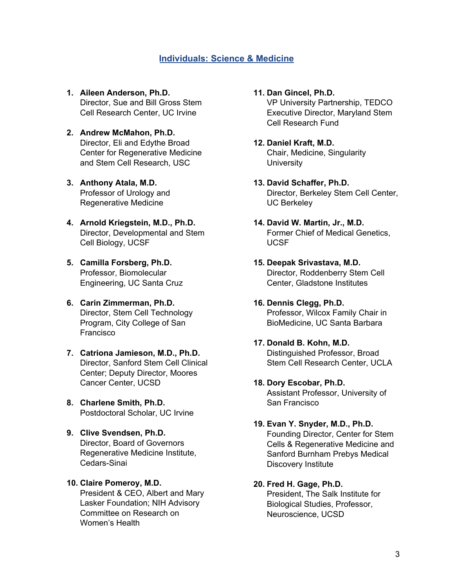# **Individuals: Science & Medicine**

- **1. Aileen Anderson, Ph.D.** Director, Sue and Bill Gross Stem Cell Research Center, UC Irvine
- **2. Andrew McMahon, Ph.D.** Director, Eli and Edythe Broad Center for Regenerative Medicine and Stem Cell Research, USC
- **3. Anthony Atala, M.D.** Professor of Urology and Regenerative Medicine
- **4. Arnold Kriegstein, M.D., Ph.D.** Director, Developmental and Stem Cell Biology, UCSF
- **5. Camilla Forsberg, Ph.D.** Professor, Biomolecular Engineering, UC Santa Cruz
- **6. Carin Zimmerman, Ph.D.** Director, Stem Cell Technology Program, City College of San Francisco
- **7. Catriona Jamieson, M.D., Ph.D.** Director, Sanford Stem Cell Clinical Center; Deputy Director, Moores Cancer Center, UCSD
- **8. Charlene Smith, Ph.D.** Postdoctoral Scholar, UC Irvine
- **9. Clive Svendsen, Ph.D.** Director, Board of Governors Regenerative Medicine Institute, Cedars-Sinai

## **10. Claire Pomeroy, M.D.** President & CEO, Albert and Mary Lasker Foundation; NIH Advisory Committee on Research on Women's Health

- **11. Dan Gincel, Ph.D.** VP University Partnership, TEDCO Executive Director, Maryland Stem Cell Research Fund
- **12. Daniel Kraft, M.D.** Chair, Medicine, Singularity **University**
- **13. David Schaffer, Ph.D.** Director, Berkeley Stem Cell Center, UC Berkeley
- **14. David W. Martin, Jr., M.D.** Former Chief of Medical Genetics, UCSF
- **15. Deepak Srivastava, M.D.** Director, Roddenberry Stem Cell Center, Gladstone Institutes
- **16. Dennis Clegg, Ph.D.** Professor, Wilcox Family Chair in BioMedicine, UC Santa Barbara
- **17. Donald B. Kohn, M.D.** Distinguished Professor, Broad Stem Cell Research Center, UCLA
- **18. Dory Escobar, Ph.D.** Assistant Professor, University of San Francisco
- **19. Evan Y. Snyder, M.D., Ph.D.** Founding Director, Center for Stem Cells & Regenerative Medicine and Sanford Burnham Prebys Medical
- **20. Fred H. Gage, Ph.D.** President, The Salk Institute for Biological Studies, Professor, Neuroscience, UCSD

Discovery Institute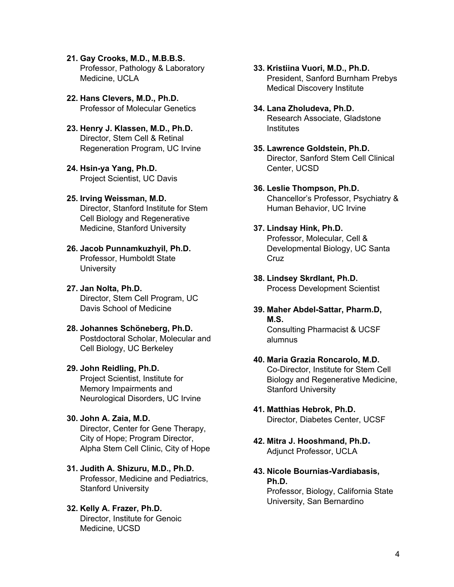- **21. Gay Crooks, M.D., M.B.B.S.** Professor, Pathology & Laboratory Medicine, UCLA
- **22. Hans Clevers, M.D., Ph.D.** Professor of Molecular Genetics
- **23. Henry J. Klassen, M.D., Ph.D.** Director, Stem Cell & Retinal Regeneration Program, UC Irvine
- **24. Hsin-ya Yang, Ph.D.** Project Scientist, UC Davis
- **25. Irving Weissman, M.D.** Director, Stanford Institute for Stem Cell Biology and Regenerative Medicine, Stanford University
- **26. Jacob Punnamkuzhyil, Ph.D.** Professor, Humboldt State **University**
- **27. Jan Nolta, Ph.D.** Director, Stem Cell Program, UC Davis School of Medicine
- **28. Johannes Schöneberg, Ph.D.** Postdoctoral Scholar, Molecular and Cell Biology, UC Berkeley
- **29. John Reidling, Ph.D.** Project Scientist, Institute for Memory Impairments and Neurological Disorders, UC Irvine
- **30. John A. Zaia, M.D.** Director, Center for Gene Therapy, City of Hope; Program Director, Alpha Stem Cell Clinic, City of Hope
- **31. Judith A. Shizuru, M.D., Ph.D.** Professor, Medicine and Pediatrics, Stanford University
- **32. Kelly A. Frazer, Ph.D.** Director, Institute for Genoic Medicine, UCSD
- **33. Kristiina Vuori, M.D., Ph.D.** President, Sanford Burnham Prebys Medical Discovery Institute
- **34. Lana Zholudeva, Ph.D.** Research Associate, Gladstone **Institutes**
- **35. Lawrence Goldstein, Ph.D.** Director, Sanford Stem Cell Clinical Center, UCSD
- **36. Leslie Thompson, Ph.D.** Chancellor's Professor, Psychiatry & Human Behavior, UC Irvine
- **37. Lindsay Hink, Ph.D.** Professor, Molecular, Cell & Developmental Biology, UC Santa Cruz
- **38. Lindsey Skrdlant, Ph.D.** Process Development Scientist
- **39. Maher Abdel-Sattar, Pharm.D, M.S.** Consulting Pharmacist & UCSF alumnus
- **40. Maria Grazia Roncarolo, M.D.** Co-Director, Institute for Stem Cell Biology and Regenerative Medicine, Stanford University
- **41. Matthias Hebrok, Ph.D.** Director, Diabetes Center, UCSF
- **42. Mitra J. Hooshmand, Ph.D.** Adjunct Professor, UCLA
- **43. Nicole Bournias-Vardiabasis, Ph.D.**

Professor, Biology, California State University, San Bernardino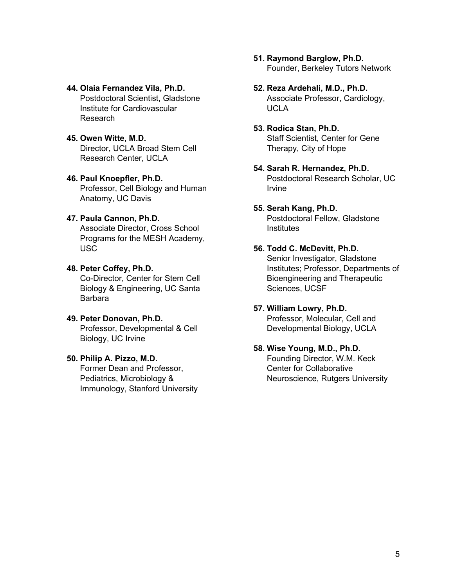- **44. Olaia Fernandez Vila, Ph.D.** Postdoctoral Scientist, Gladstone Institute for Cardiovascular Research
- **45. Owen Witte, M.D.** Director, UCLA Broad Stem Cell Research Center, UCLA

#### **46. Paul Knoepfler, Ph.D.**

Professor, Cell Biology and Human Anatomy, UC Davis

### **47. Paula Cannon, Ph.D.**

Associate Director, Cross School Programs for the MESH Academy, USC

#### **48. Peter Coffey, Ph.D.**

Co-Director, Center for Stem Cell Biology & Engineering, UC Santa Barbara

#### **49. Peter Donovan, Ph.D.** Professor, Developmental & Cell Biology, UC Irvine

#### **50. Philip A. Pizzo, M.D.**

Former Dean and Professor, Pediatrics, Microbiology & Immunology, Stanford University

- **51. Raymond Barglow, Ph.D.** Founder, Berkeley Tutors Network
- **52. Reza Ardehali, M.D., Ph.D.** Associate Professor, Cardiology, UCLA

# **53. Rodica Stan, Ph.D.**

Staff Scientist, Center for Gene Therapy, City of Hope

- **54. Sarah R. Hernandez, Ph.D.** Postdoctoral Research Scholar, UC Irvine
- **55. Serah Kang, Ph.D.** Postdoctoral Fellow, Gladstone **Institutes**

## **56. Todd C. McDevitt, Ph.D.** Senior Investigator, Gladstone Institutes; Professor, Departments of Bioengineering and Therapeutic Sciences, UCSF

#### **57. William Lowry, Ph.D.** Professor, Molecular, Cell and Developmental Biology, UCLA

### **58. Wise Young, M.D., Ph.D.** Founding Director, W.M. Keck Center for Collaborative Neuroscience, Rutgers University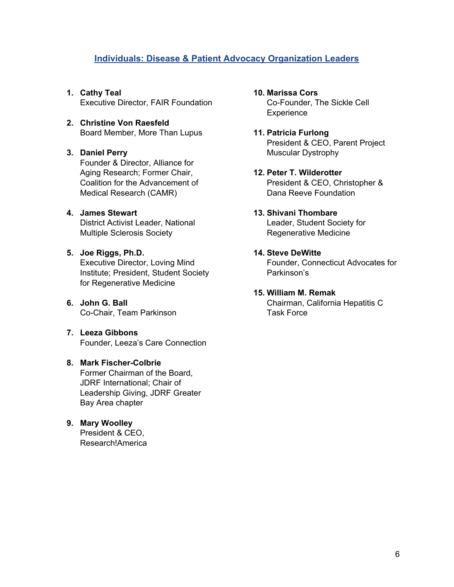# **Individuals: Disease & Patient Advocacy Organization Leaders**

- **1. Cathy Teal** Executive Director, FAIR Foundation
- **2. Christine Von Raesfeld** Board Member, More Than Lupus

# **3. Daniel Perry**

Founder & Director, Alliance for Aging Research; Former Chair, Coalition for the Advancement of Medical Research (CAMR)

# **4. James Stewart**

District Activist Leader, National Multiple Sclerosis Society

# **5. Joe Riggs, Ph.D.**

Executive Director, Loving Mind Institute; President, Student Society for Regenerative Medicine

# **6. John G. Ball** Co-Chair, Team Parkinson

# **7. Leeza Gibbons** Founder, Leeza's Care Connection

#### **8. Mark Fischer-Colbrie** Former Chairman of the Board, JDRF International; Chair of

Leadership Giving, JDRF Greater Bay Area chapter

# **9. Mary Woolley** President & CEO,

Research!America

**10. Marissa Cors** Co-Founder, The Sickle Cell **Experience** 

## **11. Patricia Furlong** President & CEO, Parent Project Muscular Dystrophy

# **12. Peter T. Wilderotter** President & CEO, Christopher & Dana Reeve Foundation

# **13. Shivani Thombare**

Leader, Student Society for Regenerative Medicine

# **14. Steve DeWitte**

Founder, Connecticut Advocates for Parkinson's

# **15. William M. Remak**

Chairman, California Hepatitis C Task Force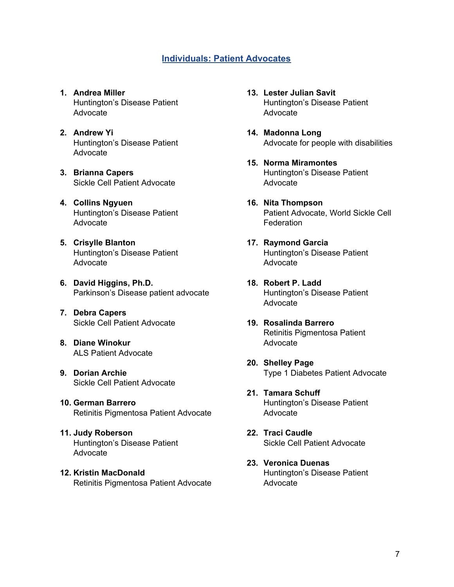# **Individuals: Patient Advocates**

- **1. Andrea Miller** Huntington's Disease Patient Advocate
- **2. Andrew Yi** Huntington's Disease Patient Advocate
- **3. Brianna Capers** Sickle Cell Patient Advocate
- **4. Collins Ngyuen** Huntington's Disease Patient Advocate
- **5. Crisylle Blanton** Huntington's Disease Patient Advocate
- **6. David Higgins, Ph.D.** Parkinson's Disease patient advocate
- **7. Debra Capers** Sickle Cell Patient Advocate
- **8. Diane Winokur** ALS Patient Advocate
- **9. Dorian Archie** Sickle Cell Patient Advocate
- **10. German Barrero** Retinitis Pigmentosa Patient Advocate
- **11. Judy Roberson** Huntington's Disease Patient Advocate
- **12. Kristin MacDonald** Retinitis Pigmentosa Patient Advocate
- **13. Lester Julian Savit** Huntington's Disease Patient Advocate
- **14. Madonna Long** Advocate for people with disabilities
- **15. Norma Miramontes** Huntington's Disease Patient Advocate
- **16. Nita Thompson** Patient Advocate, World Sickle Cell **Federation**
- **17. Raymond Garcia** Huntington's Disease Patient Advocate
- **18. Robert P. Ladd** Huntington's Disease Patient Advocate
- **19. Rosalinda Barrero** Retinitis Pigmentosa Patient Advocate
- **20. Shelley Page** Type 1 Diabetes Patient Advocate
- **21. Tamara Schuff** Huntington's Disease Patient Advocate
- **22. Traci Caudle** Sickle Cell Patient Advocate
- **23. Veronica Duenas** Huntington's Disease Patient Advocate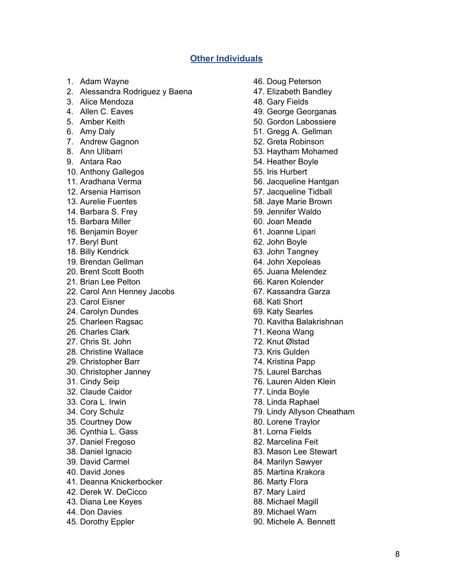# **Other Individuals**

- 1. Adam Wayne
- 2. Alessandra Rodriguez y Baena
- 3. Alice Mendoza
- 4. Allen C. Eaves
- 5. Amber Keith
- 6. Amy Daly
- 7. Andrew Gagnon
- 8. Ann Ulibarri
- 9. Antara Rao
- 10. Anthony Gallegos
- 11. Aradhana Verma
- 12. Arsenia Harrison
- 13. Aurelie Fuentes
- 14. Barbara S. Frey
- 15. Barbara Miller
- 16. Benjamin Boyer
- 17. Beryl Bunt
- 18. Billy Kendrick
- 19. Brendan Gellman
- 20. Brent Scott Booth
- 21. Brian Lee Pelton
- 22. Carol Ann Henney Jacobs
- 23. Carol Eisner
- 24. Carolyn Dundes
- 25. Charleen Ragsac
- 26. Charles Clark
- 27. Chris St. John
- 28. Christine Wallace
- 29. Christopher Barr
- 30. Christopher Janney
- 31. Cindy Seip
- 32. Claude Caidor
- 33. Cora L. Irwin
- 34. Cory Schulz
- 35. Courtney Dow
- 36. Cynthia L. Gass
- 37. Daniel Fregoso
- 38. Daniel Ignacio
- 39. David Carmel
- 40. David Jones
- 41. Deanna Knickerbocker
- 42. Derek W. DeCicco
- 43. Diana Lee Keyes
- 44. Don Davies
- 45. Dorothy Eppler
- 46. Doug Peterson
- 47. Elizabeth Bandley
- 48. Gary Fields
- 49. George Georganas
- 50. Gordon Labossiere
- 51. Gregg A. Gellman
- 52. Greta Robinson
- 53. Haytham Mohamed
- 54. Heather Boyle
- 55. Iris Hurbert
- 56. Jacqueline Hantgan
- 57. Jacqueline Tidball
- 58. Jaye Marie Brown
- 59. Jennifer Waldo
- 60. Joan Meade
- 61. Joanne Lipari
- 62. John Boyle
- 63. John Tangney
- 64. John Xepoleas
- 65. Juana Melendez
- 66. Karen Kolender
- 67. Kassandra Garza
- 68. Kati Short
- 69. Katy Searles
- 70. Kavitha Balakrishnan
- 71. Keona Wang
- 72. Knut Ølstad
- 73. Kris Gulden
- 74. Kristina Papp
- 75. Laurel Barchas
- 76. Lauren Alden Klein
- 77. Linda Boyle
- 78. Linda Raphael
- 79. Lindy Allyson Cheatham
- 80. Lorene Traylor
- 81. Lorna Fields
- 82. Marcelina Feit
- 83. Mason Lee Stewart
- 84. Marilyn Sawyer
- 85. Martina Krakora
- 86. Marty Flora
- 87. Mary Laird
- 88. Michael Magill
- 89. Michael Warn
- 90. Michele A. Bennett